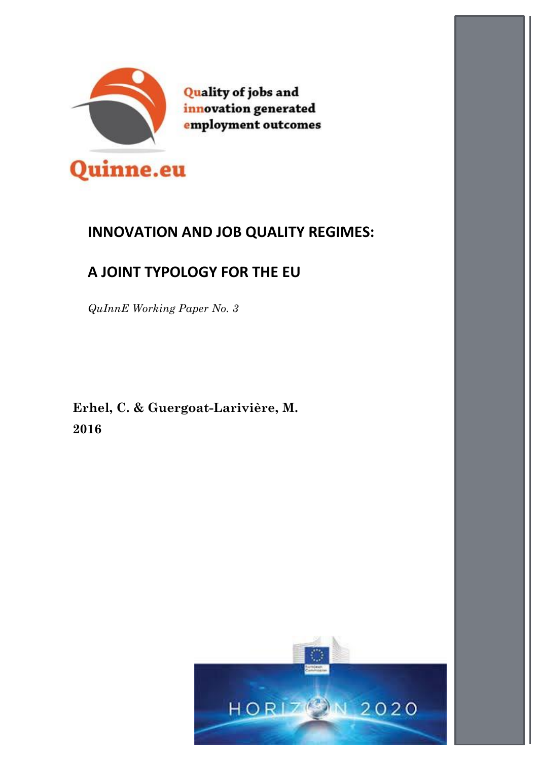

**Quality of jobs and** innovation generated employment outcomes

# **INNOVATION AND JOB QUALITY REGIMES:**

# **A JOINT TYPOLOGY FOR THE EU**

*QuInnE Working Paper No. 3*

**Erhel, C. & Guergoat-Larivière, M. 2016**

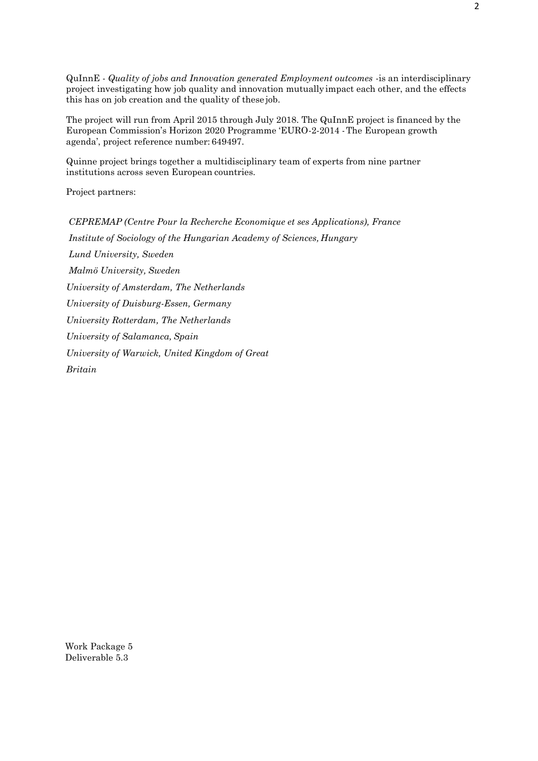QuInnE - *Quality of jobs and Innovation generated Employment outcomes* -is an interdisciplinary project investigating how job quality and innovation mutually impact each other, and the effects this has on job creation and the quality of these job.

The project will run from April 2015 through July 2018. The QuInnE project is financed by the European Commission's Horizon 2020 Programme 'EURO-2-2014 -The European growth agenda', project reference number: 649497.

Quinne project brings together a multidisciplinary team of experts from nine partner institutions across seven European countries.

Project partners:

*CEPREMAP (Centre Pour la Recherche Economique et ses Applications), France Institute of Sociology of the Hungarian Academy of Sciences, Hungary Lund University, Sweden Malmö University, Sweden University of Amsterdam, The Netherlands University of Duisburg-Essen, Germany University Rotterdam, The Netherlands University of Salamanca, Spain University of Warwick, United Kingdom of Great Britain*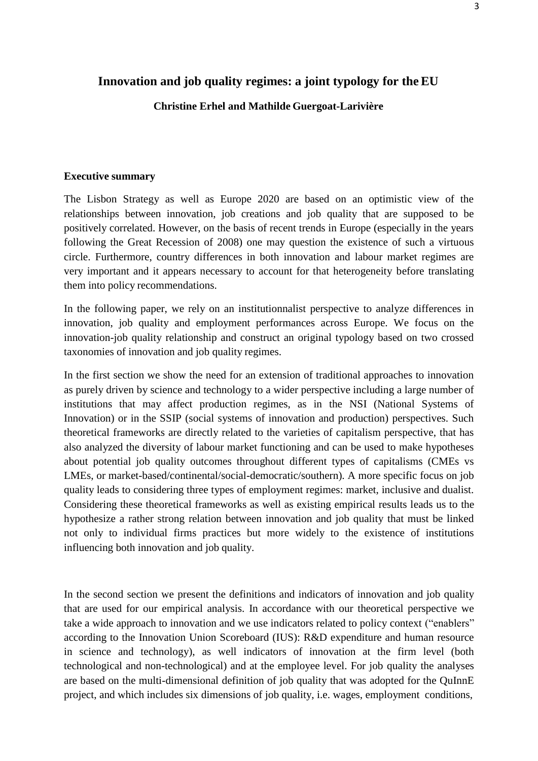#### **Innovation and job quality regimes: a joint typology for theEU**

#### **Christine Erhel and Mathilde Guergoat-Larivière**

#### **Executive summary**

The Lisbon Strategy as well as Europe 2020 are based on an optimistic view of the relationships between innovation, job creations and job quality that are supposed to be positively correlated. However, on the basis of recent trends in Europe (especially in the years following the Great Recession of 2008) one may question the existence of such a virtuous circle. Furthermore, country differences in both innovation and labour market regimes are very important and it appears necessary to account for that heterogeneity before translating them into policy recommendations.

In the following paper, we rely on an institutionnalist perspective to analyze differences in innovation, job quality and employment performances across Europe. We focus on the innovation-job quality relationship and construct an original typology based on two crossed taxonomies of innovation and job quality regimes.

In the first section we show the need for an extension of traditional approaches to innovation as purely driven by science and technology to a wider perspective including a large number of institutions that may affect production regimes, as in the NSI (National Systems of Innovation) or in the SSIP (social systems of innovation and production) perspectives. Such theoretical frameworks are directly related to the varieties of capitalism perspective, that has also analyzed the diversity of labour market functioning and can be used to make hypotheses about potential job quality outcomes throughout different types of capitalisms (CMEs vs LMEs, or market-based/continental/social-democratic/southern). A more specific focus on job quality leads to considering three types of employment regimes: market, inclusive and dualist. Considering these theoretical frameworks as well as existing empirical results leads us to the hypothesize a rather strong relation between innovation and job quality that must be linked not only to individual firms practices but more widely to the existence of institutions influencing both innovation and job quality.

In the second section we present the definitions and indicators of innovation and job quality that are used for our empirical analysis. In accordance with our theoretical perspective we take a wide approach to innovation and we use indicators related to policy context ("enablers" according to the Innovation Union Scoreboard (IUS): R&D expenditure and human resource in science and technology), as well indicators of innovation at the firm level (both technological and non-technological) and at the employee level. For job quality the analyses are based on the multi-dimensional definition of job quality that was adopted for the QuInnE project, and which includes six dimensions of job quality, i.e. wages, employment conditions,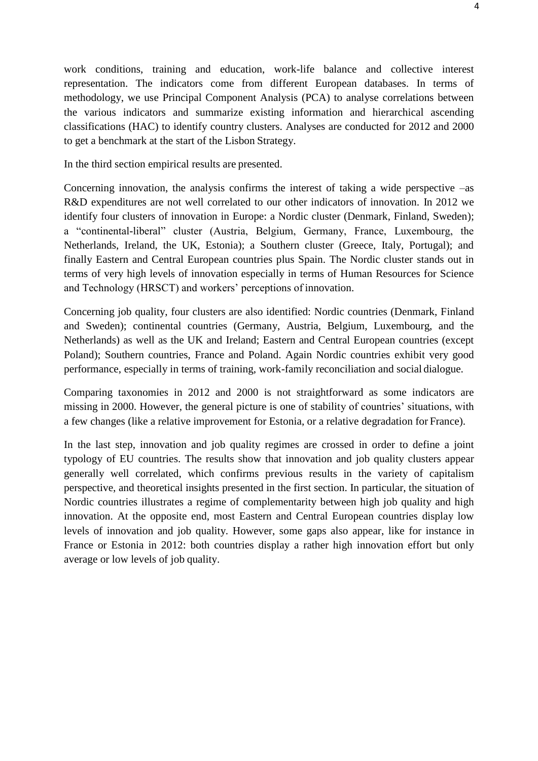work conditions, training and education, work-life balance and collective interest representation. The indicators come from different European databases. In terms of methodology, we use Principal Component Analysis (PCA) to analyse correlations between the various indicators and summarize existing information and hierarchical ascending classifications (HAC) to identify country clusters. Analyses are conducted for 2012 and 2000 to get a benchmark at the start of the Lisbon Strategy.

In the third section empirical results are presented.

Concerning innovation, the analysis confirms the interest of taking a wide perspective –as R&D expenditures are not well correlated to our other indicators of innovation. In 2012 we identify four clusters of innovation in Europe: a Nordic cluster (Denmark, Finland, Sweden); a "continental-liberal" cluster (Austria, Belgium, Germany, France, Luxembourg, the Netherlands, Ireland, the UK, Estonia); a Southern cluster (Greece, Italy, Portugal); and finally Eastern and Central European countries plus Spain. The Nordic cluster stands out in terms of very high levels of innovation especially in terms of Human Resources for Science and Technology (HRSCT) and workers' perceptions of innovation.

Concerning job quality, four clusters are also identified: Nordic countries (Denmark, Finland and Sweden); continental countries (Germany, Austria, Belgium, Luxembourg, and the Netherlands) as well as the UK and Ireland; Eastern and Central European countries (except Poland); Southern countries, France and Poland. Again Nordic countries exhibit very good performance, especially in terms of training, work-family reconciliation and social dialogue.

Comparing taxonomies in 2012 and 2000 is not straightforward as some indicators are missing in 2000. However, the general picture is one of stability of countries' situations, with a few changes (like a relative improvement for Estonia, or a relative degradation for France).

In the last step, innovation and job quality regimes are crossed in order to define a joint typology of EU countries. The results show that innovation and job quality clusters appear generally well correlated, which confirms previous results in the variety of capitalism perspective, and theoretical insights presented in the first section. In particular, the situation of Nordic countries illustrates a regime of complementarity between high job quality and high innovation. At the opposite end, most Eastern and Central European countries display low levels of innovation and job quality. However, some gaps also appear, like for instance in France or Estonia in 2012: both countries display a rather high innovation effort but only average or low levels of job quality.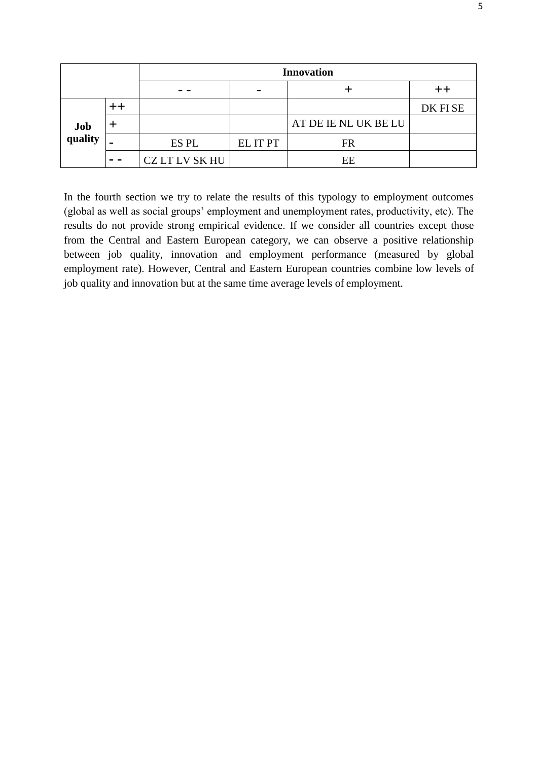|                |               | <b>Innovation</b> |                |                      |         |  |
|----------------|---------------|-------------------|----------------|----------------------|---------|--|
|                |               | - -               | $\blacksquare$ |                      |         |  |
|                |               |                   |                |                      | DK FISE |  |
| Job<br>quality |               |                   |                | AT DE IE NL UK BE LU |         |  |
|                |               | ES PL             | EL IT PT       | FR                   |         |  |
|                | $\sim$ $\sim$ | CZ LT LV SK HU    |                | EE                   |         |  |

In the fourth section we try to relate the results of this typology to employment outcomes (global as well as social groups' employment and unemployment rates, productivity, etc). The results do not provide strong empirical evidence. If we consider all countries except those from the Central and Eastern European category, we can observe a positive relationship between job quality, innovation and employment performance (measured by global employment rate). However, Central and Eastern European countries combine low levels of job quality and innovation but at the same time average levels of employment.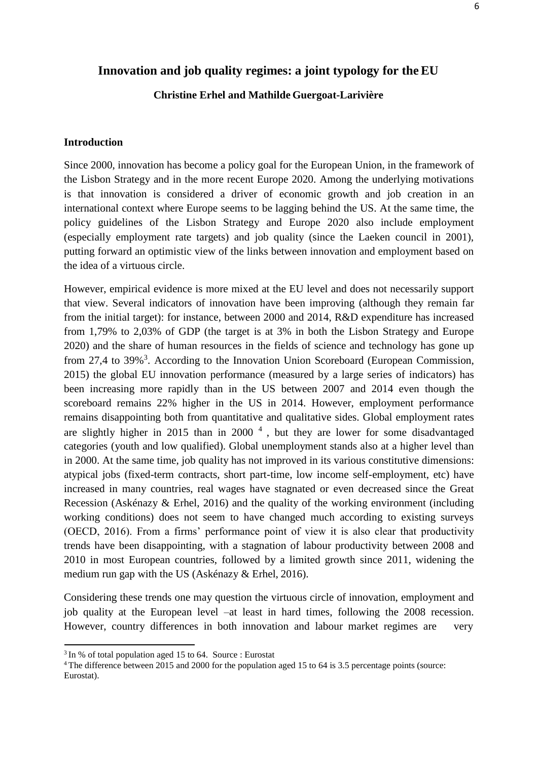#### **Christine Erhel and Mathilde Guergoat-Larivière**

#### **Introduction**

Since 2000, innovation has become a policy goal for the European Union, in the framework of the Lisbon Strategy and in the more recent Europe 2020. Among the underlying motivations is that innovation is considered a driver of economic growth and job creation in an international context where Europe seems to be lagging behind the US. At the same time, the policy guidelines of the Lisbon Strategy and Europe 2020 also include employment (especially employment rate targets) and job quality (since the Laeken council in 2001), putting forward an optimistic view of the links between innovation and employment based on the idea of a virtuous circle.

However, empirical evidence is more mixed at the EU level and does not necessarily support that view. Several indicators of innovation have been improving (although they remain far from the initial target): for instance, between 2000 and 2014, R&D expenditure has increased from 1,79% to 2,03% of GDP (the target is at 3% in both the Lisbon Strategy and Europe 2020) and the share of human resources in the fields of science and technology has gone up from 27,4 to [3](#page-5-0)9%<sup>3</sup>. According to the Innovation Union Scoreboard (European Commission, 2015) the global EU innovation performance (measured by a large series of indicators) has been increasing more rapidly than in the US between 2007 and 2014 even though the scoreboard remains 22% higher in the US in 2014. However, employment performance remains disappointing both from quantitative and qualitative sides. Global employment rates are slightly higher in 2015 than in 2000 $<sup>4</sup>$  $<sup>4</sup>$  $<sup>4</sup>$ , but they are lower for some disadvantaged</sup> categories (youth and low qualified). Global unemployment stands also at a higher level than in 2000. At the same time, job quality has not improved in its various constitutive dimensions: atypical jobs (fixed-term contracts, short part-time, low income self-employment, etc) have increased in many countries, real wages have stagnated or even decreased since the Great Recession (Askénazy & Erhel, 2016) and the quality of the working environment (including working conditions) does not seem to have changed much according to existing surveys (OECD, 2016). From a firms' performance point of view it is also clear that productivity trends have been disappointing, with a stagnation of labour productivity between 2008 and 2010 in most European countries, followed by a limited growth since 2011, widening the medium run gap with the US (Askénazy & Erhel, 2016).

Considering these trends one may question the virtuous circle of innovation, employment and job quality at the European level –at least in hard times, following the 2008 recession. However, country differences in both innovation and labour market regimes are very

<span id="page-5-0"></span> $3 \text{ In } \%$  of total population aged 15 to 64. Source : Eurostat

<span id="page-5-1"></span><sup>4</sup>The difference between 2015 and 2000 for the population aged 15 to 64 is 3.5 percentage points (source: Eurostat).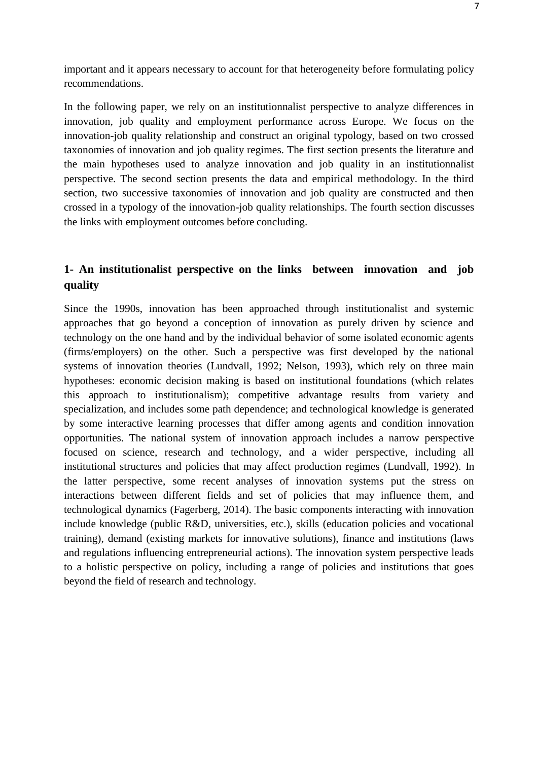important and it appears necessary to account for that heterogeneity before formulating policy recommendations.

In the following paper, we rely on an institutionnalist perspective to analyze differences in innovation, job quality and employment performance across Europe. We focus on the innovation-job quality relationship and construct an original typology, based on two crossed taxonomies of innovation and job quality regimes. The first section presents the literature and the main hypotheses used to analyze innovation and job quality in an institutionnalist perspective. The second section presents the data and empirical methodology. In the third section, two successive taxonomies of innovation and job quality are constructed and then crossed in a typology of the innovation-job quality relationships. The fourth section discusses the links with employment outcomes before concluding.

## **1- An institutionalist perspective on the links between innovation and job quality**

Since the 1990s, innovation has been approached through institutionalist and systemic approaches that go beyond a conception of innovation as purely driven by science and technology on the one hand and by the individual behavior of some isolated economic agents (firms/employers) on the other. Such a perspective was first developed by the national systems of innovation theories (Lundvall, 1992; Nelson, 1993), which rely on three main hypotheses: economic decision making is based on institutional foundations (which relates this approach to institutionalism); competitive advantage results from variety and specialization, and includes some path dependence; and technological knowledge is generated by some interactive learning processes that differ among agents and condition innovation opportunities. The national system of innovation approach includes a narrow perspective focused on science, research and technology, and a wider perspective, including all institutional structures and policies that may affect production regimes (Lundvall, 1992). In the latter perspective, some recent analyses of innovation systems put the stress on interactions between different fields and set of policies that may influence them, and technological dynamics (Fagerberg, 2014). The basic components interacting with innovation include knowledge (public R&D, universities, etc.), skills (education policies and vocational training), demand (existing markets for innovative solutions), finance and institutions (laws and regulations influencing entrepreneurial actions). The innovation system perspective leads to a holistic perspective on policy, including a range of policies and institutions that goes beyond the field of research and technology.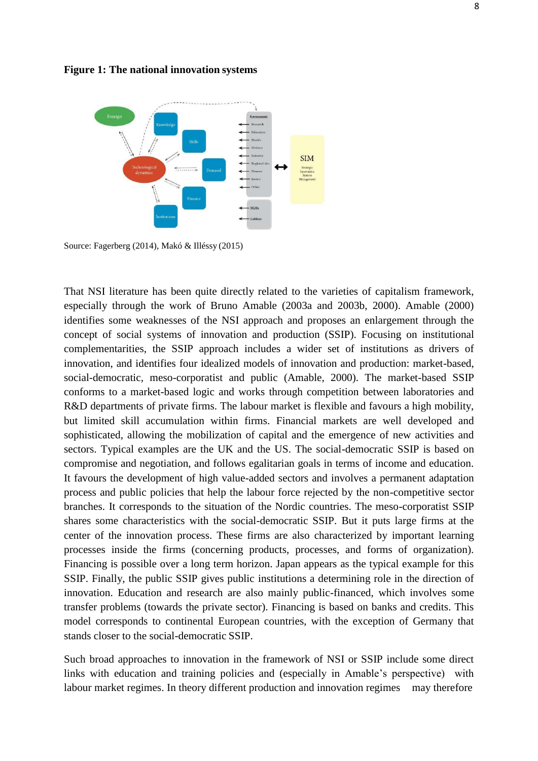

**Figure 1: The national innovation systems**

Source: Fagerberg (2014), Makó & Illéssy (2015)

That NSI literature has been quite directly related to the varieties of capitalism framework, especially through the work of Bruno Amable (2003a and 2003b, 2000). Amable (2000) identifies some weaknesses of the NSI approach and proposes an enlargement through the concept of social systems of innovation and production (SSIP). Focusing on institutional complementarities, the SSIP approach includes a wider set of institutions as drivers of innovation, and identifies four idealized models of innovation and production: market-based, social-democratic, meso-corporatist and public (Amable, 2000). The market-based SSIP conforms to a market-based logic and works through competition between laboratories and R&D departments of private firms. The labour market is flexible and favours a high mobility, but limited skill accumulation within firms. Financial markets are well developed and sophisticated, allowing the mobilization of capital and the emergence of new activities and sectors. Typical examples are the UK and the US. The social-democratic SSIP is based on compromise and negotiation, and follows egalitarian goals in terms of income and education. It favours the development of high value-added sectors and involves a permanent adaptation process and public policies that help the labour force rejected by the non-competitive sector branches. It corresponds to the situation of the Nordic countries. The meso-corporatist SSIP shares some characteristics with the social-democratic SSIP. But it puts large firms at the center of the innovation process. These firms are also characterized by important learning processes inside the firms (concerning products, processes, and forms of organization). Financing is possible over a long term horizon. Japan appears as the typical example for this SSIP. Finally, the public SSIP gives public institutions a determining role in the direction of innovation. Education and research are also mainly public-financed, which involves some transfer problems (towards the private sector). Financing is based on banks and credits. This model corresponds to continental European countries, with the exception of Germany that stands closer to the social-democratic SSIP.

Such broad approaches to innovation in the framework of NSI or SSIP include some direct links with education and training policies and (especially in Amable's perspective) with labour market regimes. In theory different production and innovation regimes may therefore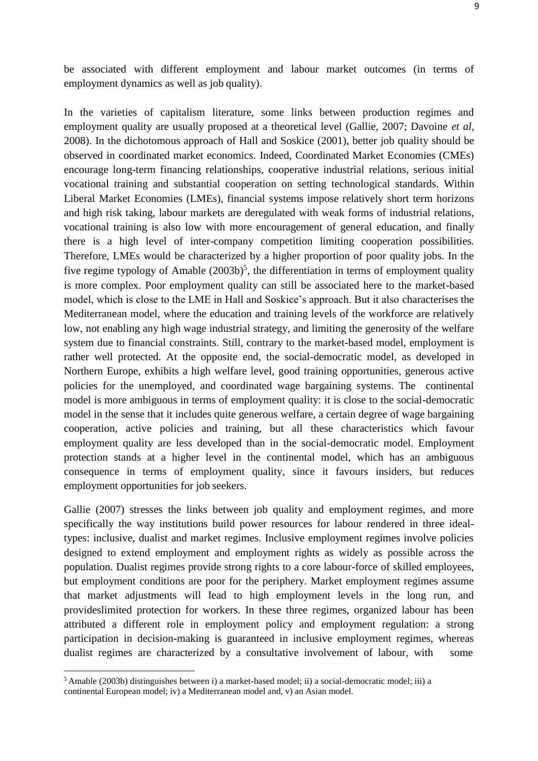be associated with different employment and labour market outcomes (in terms of employment dynamics as well as job quality).

In the varieties of capitalism literature, some links between production regimes and employment quality are usually proposed at a theoretical level (Gallie, 2007; Davoine *et al*, 2008). In the dichotomous approach of Hall and Soskice (2001), better job quality should be observed in coordinated market economics. Indeed, Coordinated Market Economies (CMEs) encourage long-term financing relationships, cooperative industrial relations, serious initial vocational training and substantial cooperation on setting technological standards. Within Liberal Market Economies (LMEs), financial systems impose relatively short term horizons and high risk taking, labour markets are deregulated with weak forms of industrial relations, vocational training is also low with more encouragement of general education, and finally there is a high level of inter-company competition limiting cooperation possibilities. Therefore, LMEs would be characterized by a higher proportion of poor quality jobs. In the five regime typology of Amable  $(2003b)^5$  $(2003b)^5$  $(2003b)^5$ , the differentiation in terms of employment quality is more complex. Poor employment quality can still be associated here to the market-based model, which is close to the LME in Hall and Soskice's approach. But it also characterises the Mediterranean model, where the education and training levels of the workforce are relatively low, not enabling any high wage industrial strategy, and limiting the generosity of the welfare system due to financial constraints. Still, contrary to the market-based model, employment is rather well protected. At the opposite end, the social-democratic model, as developed in Northern Europe, exhibits a high welfare level, good training opportunities, generous active policies for the unemployed, and coordinated wage bargaining systems. The continental model is more ambiguous in terms of employment quality: it is close to the social-democratic model in the sense that it includes quite generous welfare, a certain degree of wage bargaining cooperation, active policies and training, but all these characteristics which favour employment quality are less developed than in the social-democratic model. Employment protection stands at a higher level in the continental model, which has an ambiguous consequence in terms of employment quality, since it favours insiders, but reduces employment opportunities for job seekers.

Gallie (2007) stresses the links between job quality and employment regimes, and more specifically the way institutions build power resources for labour rendered in three idealtypes: inclusive, dualist and market regimes. Inclusive employment regimes involve policies designed to extend employment and employment rights as widely as possible across the population. Dualist regimes provide strong rights to a core labour-force of skilled employees, but employment conditions are poor for the periphery. Market employment regimes assume that market adjustments will lead to high employment levels in the long run, and provideslimited protection for workers. In these three regimes, organized labour has been attributed a different role in employment policy and employment regulation: a strong participation in decision-making is guaranteed in inclusive employment regimes, whereas dualist regimes are characterized by a consultative involvement of labour, with some

<span id="page-8-0"></span><sup>5</sup>Amable (2003b) distinguishes between i) a market-based model; ii) a social-democratic model; iii) a continental European model; iv) a Mediterranean model and, v) an Asian model.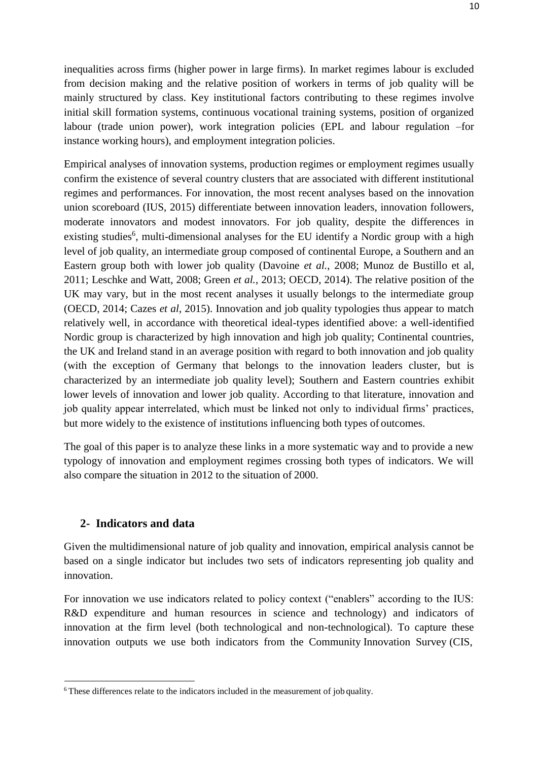inequalities across firms (higher power in large firms). In market regimes labour is excluded from decision making and the relative position of workers in terms of job quality will be mainly structured by class. Key institutional factors contributing to these regimes involve initial skill formation systems, continuous vocational training systems, position of organized labour (trade union power), work integration policies (EPL and labour regulation –for instance working hours), and employment integration policies.

Empirical analyses of innovation systems, production regimes or employment regimes usually confirm the existence of several country clusters that are associated with different institutional regimes and performances. For innovation, the most recent analyses based on the innovation union scoreboard (IUS, 2015) differentiate between innovation leaders, innovation followers, moderate innovators and modest innovators. For job quality, despite the differences in existing studies<sup>[6](#page-9-0)</sup>, multi-dimensional analyses for the EU identify a Nordic group with a high level of job quality, an intermediate group composed of continental Europe, a Southern and an Eastern group both with lower job quality (Davoine *et al.*, 2008; Munoz de Bustillo et al, 2011; Leschke and Watt, 2008; Green *et al.*, 2013; OECD, 2014). The relative position of the UK may vary, but in the most recent analyses it usually belongs to the intermediate group (OECD, 2014; Cazes *et al*, 2015). Innovation and job quality typologies thus appear to match relatively well, in accordance with theoretical ideal-types identified above: a well-identified Nordic group is characterized by high innovation and high job quality; Continental countries, the UK and Ireland stand in an average position with regard to both innovation and job quality (with the exception of Germany that belongs to the innovation leaders cluster, but is characterized by an intermediate job quality level); Southern and Eastern countries exhibit lower levels of innovation and lower job quality. According to that literature, innovation and job quality appear interrelated, which must be linked not only to individual firms' practices, but more widely to the existence of institutions influencing both types of outcomes.

The goal of this paper is to analyze these links in a more systematic way and to provide a new typology of innovation and employment regimes crossing both types of indicators. We will also compare the situation in 2012 to the situation of 2000.

#### **2- Indicators and data**

Given the multidimensional nature of job quality and innovation, empirical analysis cannot be based on a single indicator but includes two sets of indicators representing job quality and innovation.

For innovation we use indicators related to policy context ("enablers" according to the IUS: R&D expenditure and human resources in science and technology) and indicators of innovation at the firm level (both technological and non-technological). To capture these innovation outputs we use both indicators from the Community Innovation Survey (CIS,

<span id="page-9-0"></span><sup>&</sup>lt;sup>6</sup>These differences relate to the indicators included in the measurement of job quality.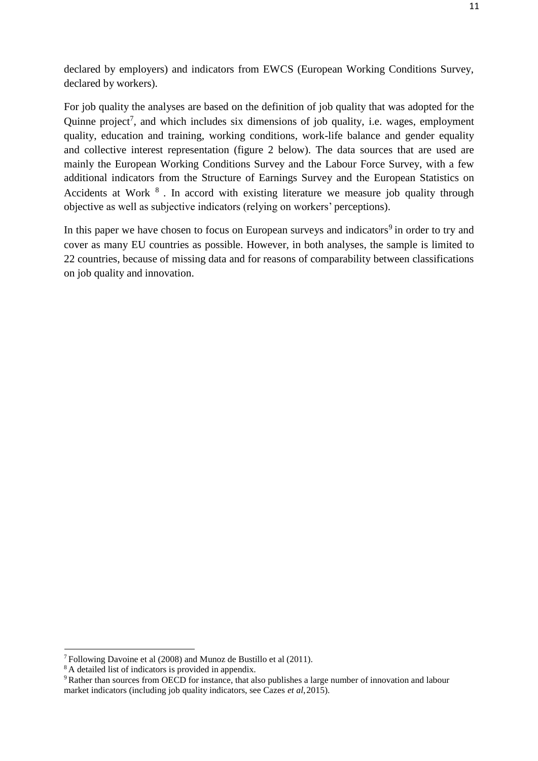declared by employers) and indicators from EWCS (European Working Conditions Survey, declared by workers).

For job quality the analyses are based on the definition of job quality that was adopted for the Quinne project<sup>[7](#page-10-0)</sup>, and which includes six dimensions of job quality, i.e. wages, employment quality, education and training, working conditions, work-life balance and gender equality and collective interest representation (figure 2 below). The data sources that are used are mainly the European Working Conditions Survey and the Labour Force Survey, with a few additional indicators from the Structure of Earnings Survey and the European Statistics on Accidents at Work <sup>[8](#page-10-1)</sup>. In accord with existing literature we measure job quality through objective as well as subjective indicators (relying on workers' perceptions).

In this paper we have chosen to focus on European surveys and indicators<sup>[9](#page-10-2)</sup> in order to try and cover as many EU countries as possible. However, in both analyses, the sample is limited to 22 countries, because of missing data and for reasons of comparability between classifications on job quality and innovation.

<span id="page-10-0"></span><sup>7</sup>Following Davoine et al (2008) and Munoz de Bustillo et al (2011).

<span id="page-10-1"></span><sup>8</sup>A detailed list of indicators is provided in appendix.

<span id="page-10-2"></span><sup>9</sup>Rather than sources from OECD for instance, that also publishes a large number of innovation and labour market indicators (including job quality indicators, see Cazes *et al*,2015).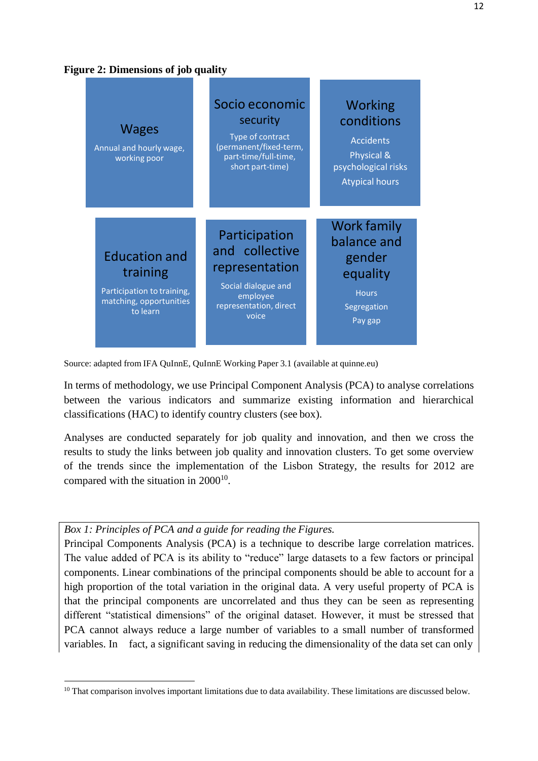

| <b>Wages</b><br>Annual and hourly wage,<br>working poor                                               | Socio economic<br>security<br>Type of contract<br>(permanent/fixed-term,<br>part-time/full-time,<br>short part-time)    | Working<br>conditions<br><b>Accidents</b><br>Physical &<br>psychological risks<br><b>Atypical hours</b> |
|-------------------------------------------------------------------------------------------------------|-------------------------------------------------------------------------------------------------------------------------|---------------------------------------------------------------------------------------------------------|
| <b>Education and</b><br>training<br>Participation to training,<br>matching, opportunities<br>to learn | Participation<br>and collective<br>representation<br>Social dialogue and<br>employee<br>representation, direct<br>voice | <b>Work family</b><br>balance and<br>gender<br>equality<br><b>Hours</b><br>Segregation<br>Pay gap       |

Source: adapted from IFA QuInnE, QuInnE Working Paper 3.1 (available at quinne.eu)

In terms of methodology, we use Principal Component Analysis (PCA) to analyse correlations between the various indicators and summarize existing information and hierarchical classifications (HAC) to identify country clusters (see box).

Analyses are conducted separately for job quality and innovation, and then we cross the results to study the links between job quality and innovation clusters. To get some overview of the trends since the implementation of the Lisbon Strategy, the results for 2012 are compared with the situation in  $2000^{10}$  $2000^{10}$  $2000^{10}$ .

#### *Box 1: Principles of PCA and a guide for reading the Figures.*

Principal Components Analysis (PCA) is a technique to describe large correlation matrices. The value added of PCA is its ability to "reduce" large datasets to a few factors or principal components. Linear combinations of the principal components should be able to account for a high proportion of the total variation in the original data. A very useful property of PCA is that the principal components are uncorrelated and thus they can be seen as representing different "statistical dimensions" of the original dataset. However, it must be stressed that PCA cannot always reduce a large number of variables to a small number of transformed variables. In fact, a significant saving in reducing the dimensionality of the data set can only

<span id="page-11-0"></span><sup>&</sup>lt;sup>10</sup> That comparison involves important limitations due to data availability. These limitations are discussed below.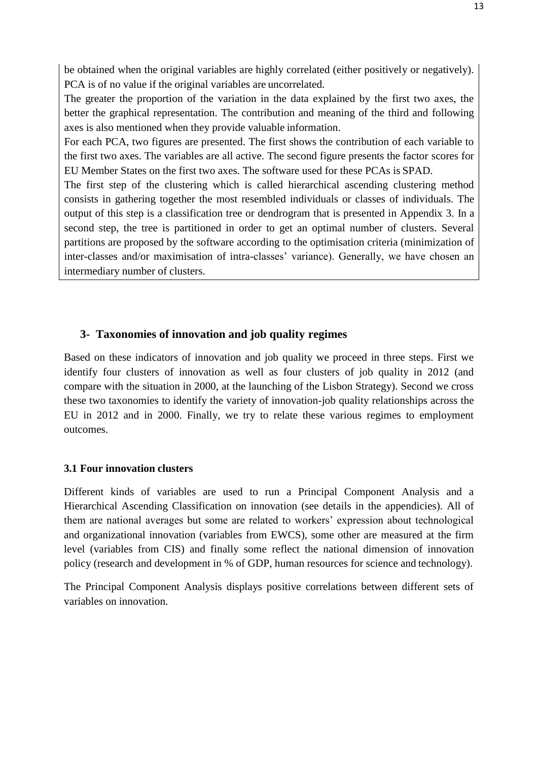be obtained when the original variables are highly correlated (either positively or negatively). PCA is of no value if the original variables are uncorrelated.

The greater the proportion of the variation in the data explained by the first two axes, the better the graphical representation. The contribution and meaning of the third and following axes is also mentioned when they provide valuable information.

For each PCA, two figures are presented. The first shows the contribution of each variable to the first two axes. The variables are all active. The second figure presents the factor scores for EU Member States on the first two axes. The software used for these PCAs is SPAD.

The first step of the clustering which is called hierarchical ascending clustering method consists in gathering together the most resembled individuals or classes of individuals. The output of this step is a classification tree or dendrogram that is presented in Appendix 3. In a second step, the tree is partitioned in order to get an optimal number of clusters. Several partitions are proposed by the software according to the optimisation criteria (minimization of inter-classes and/or maximisation of intra-classes' variance). Generally, we have chosen an intermediary number of clusters.

## **3- Taxonomies of innovation and job quality regimes**

Based on these indicators of innovation and job quality we proceed in three steps. First we identify four clusters of innovation as well as four clusters of job quality in 2012 (and compare with the situation in 2000, at the launching of the Lisbon Strategy). Second we cross these two taxonomies to identify the variety of innovation-job quality relationships across the EU in 2012 and in 2000. Finally, we try to relate these various regimes to employment outcomes.

#### **3.1 Four innovation clusters**

Different kinds of variables are used to run a Principal Component Analysis and a Hierarchical Ascending Classification on innovation (see details in the appendicies). All of them are national averages but some are related to workers' expression about technological and organizational innovation (variables from EWCS), some other are measured at the firm level (variables from CIS) and finally some reflect the national dimension of innovation policy (research and development in % of GDP, human resources for science and technology).

The Principal Component Analysis displays positive correlations between different sets of variables on innovation.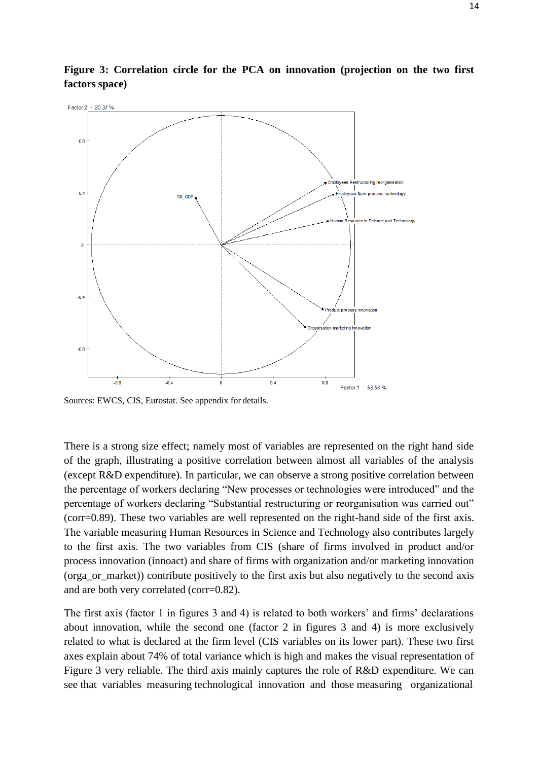

**Figure 3: Correlation circle for the PCA on innovation (projection on the two first factors space)**

Sources: EWCS, CIS, Eurostat. See appendix for details.

There is a strong size effect; namely most of variables are represented on the right hand side of the graph, illustrating a positive correlation between almost all variables of the analysis (except R&D expenditure). In particular, we can observe a strong positive correlation between the percentage of workers declaring "New processes or technologies were introduced" and the percentage of workers declaring "Substantial restructuring or reorganisation was carried out" (corr=0.89). These two variables are well represented on the right-hand side of the first axis. The variable measuring Human Resources in Science and Technology also contributes largely to the first axis. The two variables from CIS (share of firms involved in product and/or process innovation (innoact) and share of firms with organization and/or marketing innovation (orga\_or\_market)) contribute positively to the first axis but also negatively to the second axis and are both very correlated (corr=0.82).

The first axis (factor 1 in figures 3 and 4) is related to both workers' and firms' declarations about innovation, while the second one (factor 2 in figures 3 and 4) is more exclusively related to what is declared at the firm level (CIS variables on its lower part). These two first axes explain about 74% of total variance which is high and makes the visual representation of Figure 3 very reliable. The third axis mainly captures the role of R&D expenditure. We can see that variables measuring technological innovation and those measuring organizational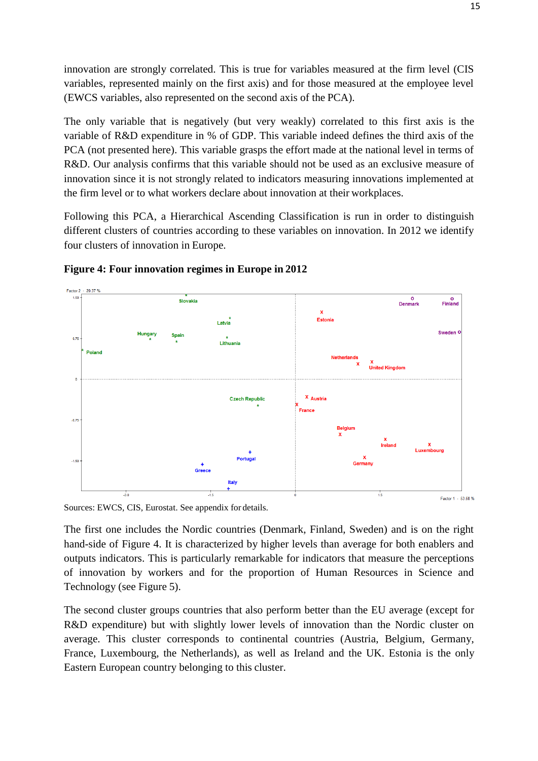innovation are strongly correlated. This is true for variables measured at the firm level (CIS variables, represented mainly on the first axis) and for those measured at the employee level (EWCS variables, also represented on the second axis of the PCA).

The only variable that is negatively (but very weakly) correlated to this first axis is the variable of R&D expenditure in % of GDP. This variable indeed defines the third axis of the PCA (not presented here). This variable grasps the effort made at the national level in terms of R&D. Our analysis confirms that this variable should not be used as an exclusive measure of innovation since it is not strongly related to indicators measuring innovations implemented at the firm level or to what workers declare about innovation at their workplaces.

Following this PCA, a Hierarchical Ascending Classification is run in order to distinguish different clusters of countries according to these variables on innovation. In 2012 we identify four clusters of innovation in Europe.





Sources: EWCS, CIS, Eurostat. See appendix for details.

The first one includes the Nordic countries (Denmark, Finland, Sweden) and is on the right hand-side of Figure 4. It is characterized by higher levels than average for both enablers and outputs indicators. This is particularly remarkable for indicators that measure the perceptions of innovation by workers and for the proportion of Human Resources in Science and Technology (see Figure 5).

The second cluster groups countries that also perform better than the EU average (except for R&D expenditure) but with slightly lower levels of innovation than the Nordic cluster on average. This cluster corresponds to continental countries (Austria, Belgium, Germany, France, Luxembourg, the Netherlands), as well as Ireland and the UK. Estonia is the only Eastern European country belonging to this cluster.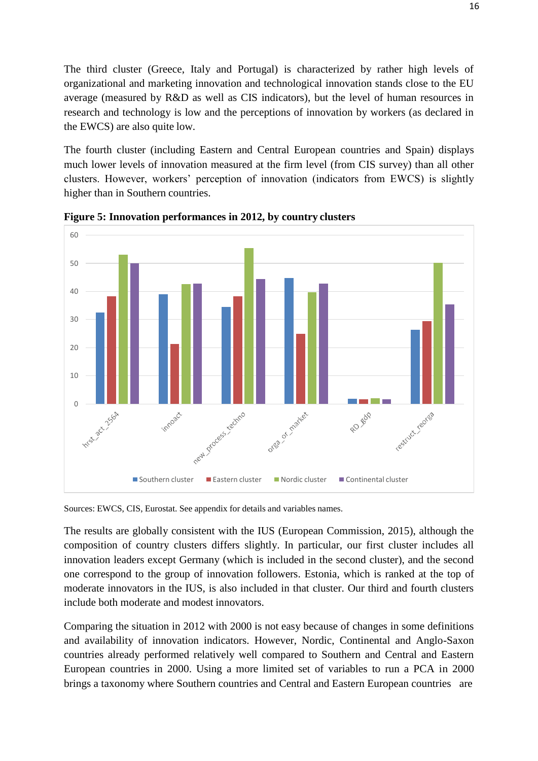The third cluster (Greece, Italy and Portugal) is characterized by rather high levels of organizational and marketing innovation and technological innovation stands close to the EU average (measured by R&D as well as CIS indicators), but the level of human resources in research and technology is low and the perceptions of innovation by workers (as declared in the EWCS) are also quite low.

The fourth cluster (including Eastern and Central European countries and Spain) displays much lower levels of innovation measured at the firm level (from CIS survey) than all other clusters. However, workers' perception of innovation (indicators from EWCS) is slightly higher than in Southern countries.



**Figure 5: Innovation performances in 2012, by country clusters**

Sources: EWCS, CIS, Eurostat. See appendix for details and variables names.

The results are globally consistent with the IUS (European Commission, 2015), although the composition of country clusters differs slightly. In particular, our first cluster includes all innovation leaders except Germany (which is included in the second cluster), and the second one correspond to the group of innovation followers. Estonia, which is ranked at the top of moderate innovators in the IUS, is also included in that cluster. Our third and fourth clusters include both moderate and modest innovators.

Comparing the situation in 2012 with 2000 is not easy because of changes in some definitions and availability of innovation indicators. However, Nordic, Continental and Anglo-Saxon countries already performed relatively well compared to Southern and Central and Eastern European countries in 2000. Using a more limited set of variables to run a PCA in 2000 brings a taxonomy where Southern countries and Central and Eastern European countries are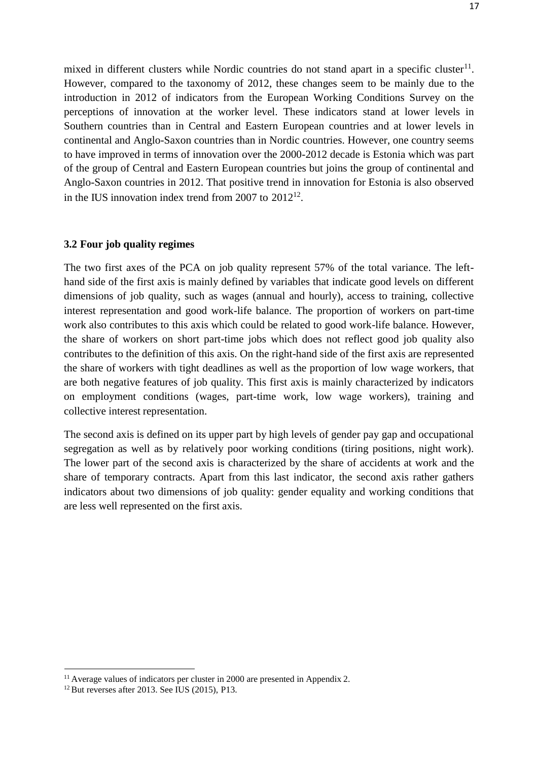mixed in different clusters while Nordic countries do not stand apart in a specific cluster<sup>[11](#page-16-0)</sup>. However, compared to the taxonomy of 2012, these changes seem to be mainly due to the introduction in 2012 of indicators from the European Working Conditions Survey on the perceptions of innovation at the worker level. These indicators stand at lower levels in Southern countries than in Central and Eastern European countries and at lower levels in continental and Anglo-Saxon countries than in Nordic countries. However, one country seems to have improved in terms of innovation over the 2000-2012 decade is Estonia which was part of the group of Central and Eastern European countries but joins the group of continental and Anglo-Saxon countries in 2012. That positive trend in innovation for Estonia is also observed in the IUS innovation index trend from 2007 to  $2012^{12}$  $2012^{12}$  $2012^{12}$ .

#### **3.2 Four job quality regimes**

The two first axes of the PCA on job quality represent 57% of the total variance. The lefthand side of the first axis is mainly defined by variables that indicate good levels on different dimensions of job quality, such as wages (annual and hourly), access to training, collective interest representation and good work-life balance. The proportion of workers on part-time work also contributes to this axis which could be related to good work-life balance. However, the share of workers on short part-time jobs which does not reflect good job quality also contributes to the definition of this axis. On the right-hand side of the first axis are represented the share of workers with tight deadlines as well as the proportion of low wage workers, that are both negative features of job quality. This first axis is mainly characterized by indicators on employment conditions (wages, part-time work, low wage workers), training and collective interest representation.

The second axis is defined on its upper part by high levels of gender pay gap and occupational segregation as well as by relatively poor working conditions (tiring positions, night work). The lower part of the second axis is characterized by the share of accidents at work and the share of temporary contracts. Apart from this last indicator, the second axis rather gathers indicators about two dimensions of job quality: gender equality and working conditions that are less well represented on the first axis.

<span id="page-16-0"></span> $11$  Average values of indicators per cluster in 2000 are presented in Appendix 2.

<span id="page-16-1"></span> $12$  But reverses after 2013. See IUS (2015), P13.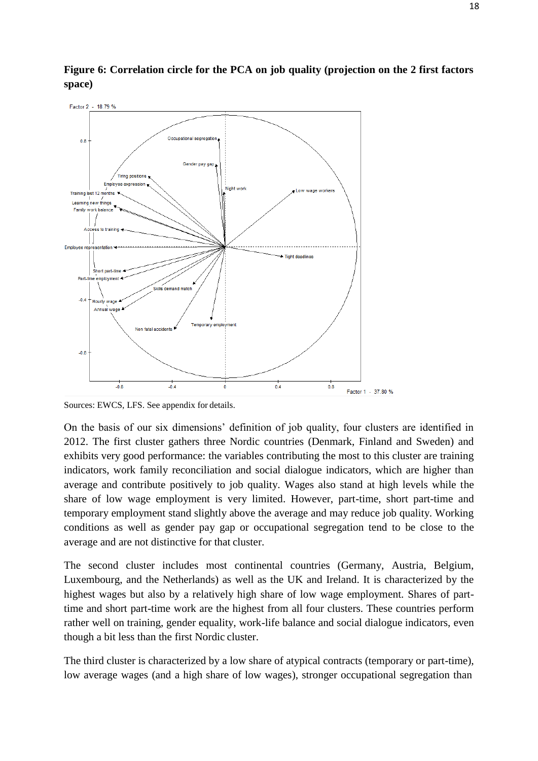



Sources: EWCS, LFS. See appendix for details.

On the basis of our six dimensions' definition of job quality, four clusters are identified in 2012. The first cluster gathers three Nordic countries (Denmark, Finland and Sweden) and exhibits very good performance: the variables contributing the most to this cluster are training indicators, work family reconciliation and social dialogue indicators, which are higher than average and contribute positively to job quality. Wages also stand at high levels while the share of low wage employment is very limited. However, part-time, short part-time and temporary employment stand slightly above the average and may reduce job quality. Working conditions as well as gender pay gap or occupational segregation tend to be close to the average and are not distinctive for that cluster.

The second cluster includes most continental countries (Germany, Austria, Belgium, Luxembourg, and the Netherlands) as well as the UK and Ireland. It is characterized by the highest wages but also by a relatively high share of low wage employment. Shares of parttime and short part-time work are the highest from all four clusters. These countries perform rather well on training, gender equality, work-life balance and social dialogue indicators, even though a bit less than the first Nordic cluster.

The third cluster is characterized by a low share of atypical contracts (temporary or part-time), low average wages (and a high share of low wages), stronger occupational segregation than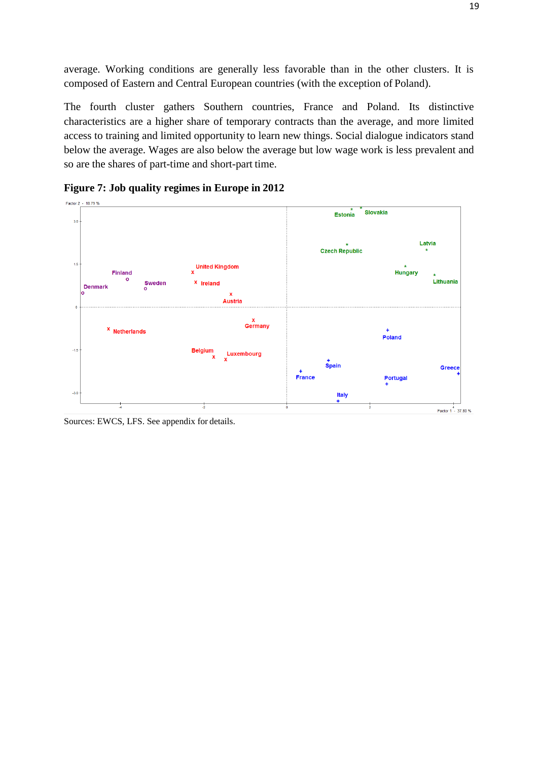average. Working conditions are generally less favorable than in the other clusters. It is composed of Eastern and Central European countries (with the exception of Poland).

The fourth cluster gathers Southern countries, France and Poland. Its distinctive characteristics are a higher share of temporary contracts than the average, and more limited access to training and limited opportunity to learn new things. Social dialogue indicators stand below the average. Wages are also below the average but low wage work is less prevalent and so are the shares of part-time and short-part time.



**Figure 7: Job quality regimes in Europe in 2012**

Sources: EWCS, LFS. See appendix for details.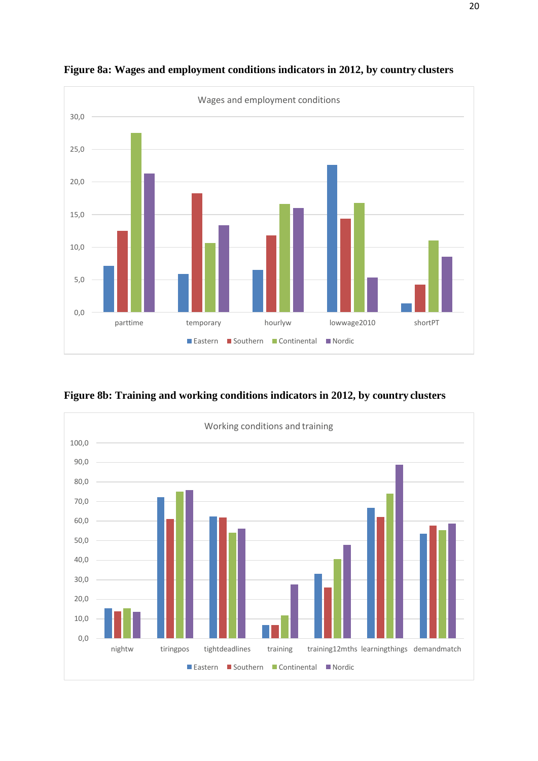



**Figure 8b: Training and working conditions indicators in 2012, by country clusters**

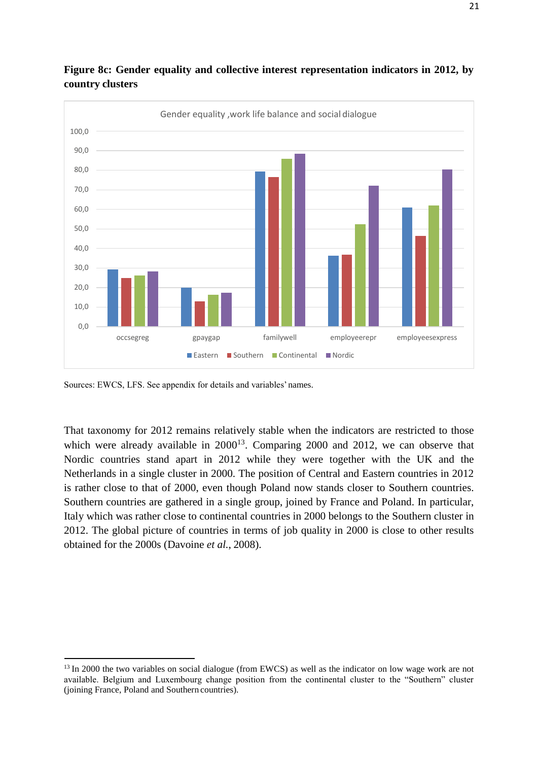

#### **Figure 8c: Gender equality and collective interest representation indicators in 2012, by country clusters**

Sources: EWCS, LFS. See appendix for details and variables' names.

That taxonomy for 2012 remains relatively stable when the indicators are restricted to those which were already available in  $2000^{13}$  $2000^{13}$  $2000^{13}$ . Comparing 2000 and 2012, we can observe that Nordic countries stand apart in 2012 while they were together with the UK and the Netherlands in a single cluster in 2000. The position of Central and Eastern countries in 2012 is rather close to that of 2000, even though Poland now stands closer to Southern countries. Southern countries are gathered in a single group, joined by France and Poland. In particular, Italy which was rather close to continental countries in 2000 belongs to the Southern cluster in 2012. The global picture of countries in terms of job quality in 2000 is close to other results obtained for the 2000s (Davoine *et al.*, 2008).

<span id="page-20-0"></span><sup>&</sup>lt;sup>13</sup> In 2000 the two variables on social dialogue (from EWCS) as well as the indicator on low wage work are not available. Belgium and Luxembourg change position from the continental cluster to the "Southern" cluster (joining France, Poland and Southern countries).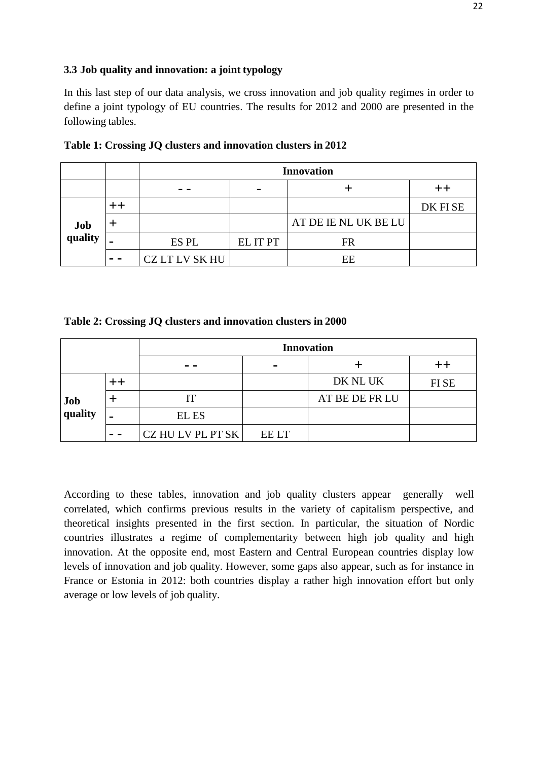#### **3.3 Job quality and innovation: a joint typology**

In this last step of our data analysis, we cross innovation and job quality regimes in order to define a joint typology of EU countries. The results for 2012 and 2000 are presented in the following tables.

|                |         | <b>Innovation</b> |                |                      |         |  |  |  |
|----------------|---------|-------------------|----------------|----------------------|---------|--|--|--|
|                |         | - -               | $\blacksquare$ |                      |         |  |  |  |
|                |         |                   |                |                      | DK FISE |  |  |  |
| Job<br>quality |         |                   |                | AT DE IE NL UK BE LU |         |  |  |  |
|                | -       | ES PL             | EL IT PT       | FR                   |         |  |  |  |
|                | $- - -$ | CZ LT LV SK HU    |                | EE                   |         |  |  |  |

**Table 1: Crossing JQ clusters and innovation clusters in 2012**

**Table 2: Crossing JQ clusters and innovation clusters in 2000**

|                |     | <b>Innovation</b> |                |                |       |  |  |
|----------------|-----|-------------------|----------------|----------------|-------|--|--|
|                |     |                   | $\blacksquare$ |                |       |  |  |
|                |     |                   |                | DK NL UK       | FI SE |  |  |
| Job<br>quality |     |                   |                | AT BE DE FR LU |       |  |  |
|                |     | <b>EL ES</b>      |                |                |       |  |  |
|                | - - | CZ HU LV PL PT SK | <b>EE LT</b>   |                |       |  |  |

According to these tables, innovation and job quality clusters appear generally well correlated, which confirms previous results in the variety of capitalism perspective, and theoretical insights presented in the first section. In particular, the situation of Nordic countries illustrates a regime of complementarity between high job quality and high innovation. At the opposite end, most Eastern and Central European countries display low levels of innovation and job quality. However, some gaps also appear, such as for instance in France or Estonia in 2012: both countries display a rather high innovation effort but only average or low levels of job quality.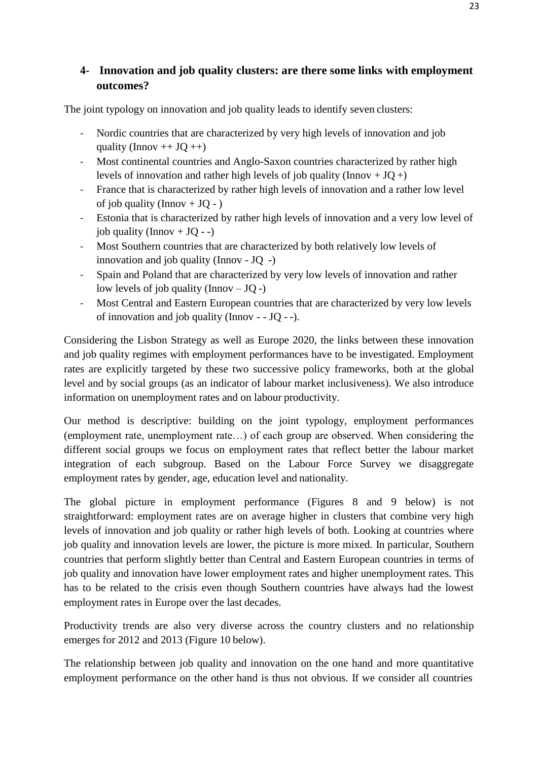## **4- Innovation and job quality clusters: are there some links with employment outcomes?**

The joint typology on innovation and job quality leads to identify seven clusters:

- Nordic countries that are characterized by very high levels of innovation and job quality (Innov  $++$  JQ  $++$ )
- Most continental countries and Anglo-Saxon countries characterized by rather high levels of innovation and rather high levels of job quality (Innov +  $JQ$  +)
- France that is characterized by rather high levels of innovation and a rather low level of job quality (Innov  $+$  JQ - )
- Estonia that is characterized by rather high levels of innovation and a very low level of job quality (Innov +  $JQ - -$ )
- Most Southern countries that are characterized by both relatively low levels of innovation and job quality (Innov - JQ -)
- Spain and Poland that are characterized by very low levels of innovation and rather low levels of job quality (Innov  $-JQ$  -)
- Most Central and Eastern European countries that are characterized by very low levels of innovation and job quality (Innov - - JQ - -).

Considering the Lisbon Strategy as well as Europe 2020, the links between these innovation and job quality regimes with employment performances have to be investigated. Employment rates are explicitly targeted by these two successive policy frameworks, both at the global level and by social groups (as an indicator of labour market inclusiveness). We also introduce information on unemployment rates and on labour productivity.

Our method is descriptive: building on the joint typology, employment performances (employment rate, unemployment rate…) of each group are observed. When considering the different social groups we focus on employment rates that reflect better the labour market integration of each subgroup. Based on the Labour Force Survey we disaggregate employment rates by gender, age, education level and nationality.

The global picture in employment performance (Figures 8 and 9 below) is not straightforward: employment rates are on average higher in clusters that combine very high levels of innovation and job quality or rather high levels of both. Looking at countries where job quality and innovation levels are lower, the picture is more mixed. In particular, Southern countries that perform slightly better than Central and Eastern European countries in terms of job quality and innovation have lower employment rates and higher unemployment rates. This has to be related to the crisis even though Southern countries have always had the lowest employment rates in Europe over the last decades.

Productivity trends are also very diverse across the country clusters and no relationship emerges for 2012 and 2013 (Figure 10 below).

The relationship between job quality and innovation on the one hand and more quantitative employment performance on the other hand is thus not obvious. If we consider all countries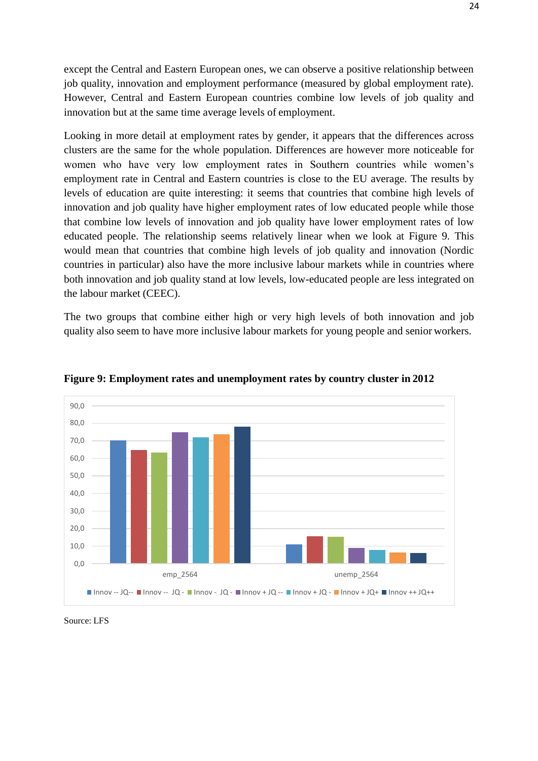except the Central and Eastern European ones, we can observe a positive relationship between job quality, innovation and employment performance (measured by global employment rate). However, Central and Eastern European countries combine low levels of job quality and innovation but at the same time average levels of employment.

Looking in more detail at employment rates by gender, it appears that the differences across clusters are the same for the whole population. Differences are however more noticeable for women who have very low employment rates in Southern countries while women's employment rate in Central and Eastern countries is close to the EU average. The results by levels of education are quite interesting: it seems that countries that combine high levels of innovation and job quality have higher employment rates of low educated people while those that combine low levels of innovation and job quality have lower employment rates of low educated people. The relationship seems relatively linear when we look at Figure 9. This would mean that countries that combine high levels of job quality and innovation (Nordic countries in particular) also have the more inclusive labour markets while in countries where both innovation and job quality stand at low levels, low-educated people are less integrated on the labour market (CEEC).

The two groups that combine either high or very high levels of both innovation and job quality also seem to have more inclusive labour markets for young people and senior workers.



**Figure 9: Employment rates and unemployment rates by country cluster in 2012**

Source: LFS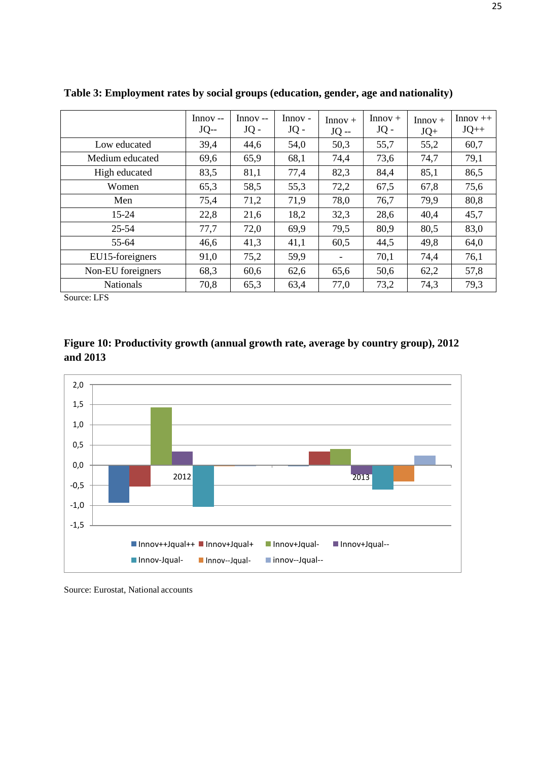|                   | $Innov -$<br>$JQ$ -- | $Innov -$<br>JQ - | $Innov -$<br>$JQ -$ | $Innov +$<br>$JO -$      | $Innov +$<br>$JQ -$ | $Innov +$<br>$JQ+$ | $Innov++$<br>$JQ++$ |
|-------------------|----------------------|-------------------|---------------------|--------------------------|---------------------|--------------------|---------------------|
| Low educated      | 39,4                 | 44,6              | 54,0                | 50,3                     | 55,7                | 55,2               | 60,7                |
| Medium educated   | 69,6                 | 65,9              | 68,1                | 74,4                     | 73,6                | 74,7               | 79,1                |
| High educated     | 83,5                 | 81,1              | 77,4                | 82,3                     | 84,4                | 85,1               | 86,5                |
| Women             | 65,3                 | 58,5              | 55,3                | 72,2                     | 67,5                | 67,8               | 75,6                |
| Men               | 75,4                 | 71,2              | 71,9                | 78,0                     | 76,7                | 79,9               | 80,8                |
| $15 - 24$         | 22,8                 | 21,6              | 18,2                | 32,3                     | 28,6                | 40,4               | 45,7                |
| $25 - 54$         | 77,7                 | 72,0              | 69,9                | 79,5                     | 80,9                | 80,5               | 83,0                |
| 55-64             | 46,6                 | 41,3              | 41,1                | 60,5                     | 44,5                | 49,8               | 64,0                |
| EU15-foreigners   | 91,0                 | 75,2              | 59,9                | $\overline{\phantom{a}}$ | 70,1                | 74,4               | 76,1                |
| Non-EU foreigners | 68,3                 | 60,6              | 62,6                | 65,6                     | 50,6                | 62,2               | 57,8                |
| <b>Nationals</b>  | 70,8                 | 65,3              | 63,4                | 77,0                     | 73,2                | 74,3               | 79,3                |

**Table 3: Employment rates by social groups (education, gender, age and nationality)**

Source: LFS





Source: Eurostat, National accounts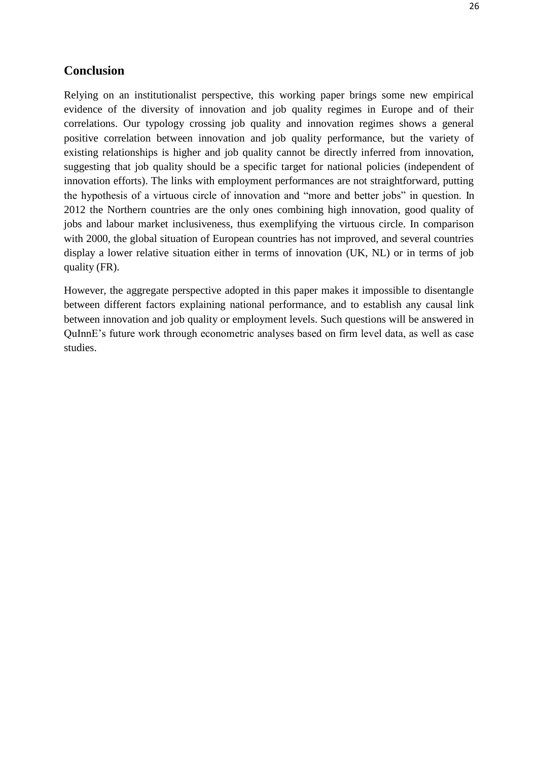#### **Conclusion**

Relying on an institutionalist perspective, this working paper brings some new empirical evidence of the diversity of innovation and job quality regimes in Europe and of their correlations. Our typology crossing job quality and innovation regimes shows a general positive correlation between innovation and job quality performance, but the variety of existing relationships is higher and job quality cannot be directly inferred from innovation, suggesting that job quality should be a specific target for national policies (independent of innovation efforts). The links with employment performances are not straightforward, putting the hypothesis of a virtuous circle of innovation and "more and better jobs" in question. In 2012 the Northern countries are the only ones combining high innovation, good quality of jobs and labour market inclusiveness, thus exemplifying the virtuous circle. In comparison with 2000, the global situation of European countries has not improved, and several countries display a lower relative situation either in terms of innovation (UK, NL) or in terms of job quality (FR).

However, the aggregate perspective adopted in this paper makes it impossible to disentangle between different factors explaining national performance, and to establish any causal link between innovation and job quality or employment levels. Such questions will be answered in QuInnE's future work through econometric analyses based on firm level data, as well as case studies.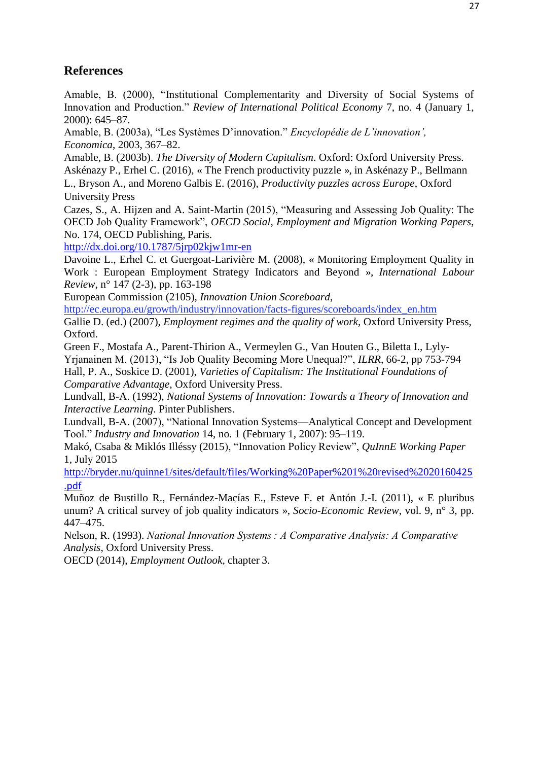# **References**

Amable, B. (2000), "Institutional Complementarity and Diversity of Social Systems of Innovation and Production." *Review of International Political Economy* 7, no. 4 (January 1, 2000): 645–87.

Amable, B. (2003a), "Les Systèmes D'innovation." *Encyclopédie de L'innovation', Economica*, 2003, 367–82.

Amable, B. (2003b). *The Diversity of Modern Capitalism*. Oxford: Oxford University Press. Askénazy P., Erhel C. (2016), « The French productivity puzzle », in Askénazy P., Bellmann L., Bryson A., and Moreno Galbis E. (2016), *Productivity puzzles across Europe*, Oxford University Press

Cazes, S., A. Hijzen and A. Saint-Martin (2015), "Measuring and Assessing Job Quality: The OECD Job Quality Framework", *OECD Social, Employment and Migration Working Papers*, No. 174, OECD Publishing, Paris.

<http://dx.doi.org/10.1787/5jrp02kjw1mr-en>

Davoine L., Erhel C. et Guergoat-Larivière M. (2008), « Monitoring Employment Quality in Work : European Employment Strategy Indicators and Beyond », *International Labour Review*, n° 147 (2-3), pp. 163-198

European Commission (2105), *Innovation Union Scoreboard*,

[http://ec.europa.eu/growth/industry/innovation/facts-figures/scoreboards/index\\_en.htm](http://ec.europa.eu/growth/industry/innovation/facts-figures/scoreboards/index_en.htm)

Gallie D. (ed.) (2007), *Employment regimes and the quality of work*, Oxford University Press, Oxford.

Green F., Mostafa A., Parent-Thirion A., Vermeylen G., Van Houten G., Biletta I., Lyly-Yrjanainen M. (2013), "Is Job Quality Becoming More Unequal?", *ILRR*, 66-2, pp 753-794 Hall, P. A., Soskice D. (2001), *Varieties of Capitalism: The Institutional Foundations of Comparative Advantage*, Oxford University Press.

Lundvall, B-A. (1992), *National Systems of Innovation: Towards a Theory of Innovation and Interactive Learning*. Pinter Publishers.

Lundvall, B-A. (2007), "National Innovation Systems—Analytical Concept and Development Tool." *Industry and Innovation* 14, no. 1 (February 1, 2007): 95–119.

Makó, Csaba & Miklós Illéssy (2015), "Innovation Policy Review", *QuInnE Working Paper*  1, July 2015

[http://bryder.nu/quinne1/sites/default/files/Working%20Paper%201%20revised%20201604](http://bryder.nu/quinne1/sites/default/files/Working%20Paper%201%20revised%2020160425.pdf)25 [.pdf](http://bryder.nu/quinne1/sites/default/files/Working%20Paper%201%20revised%2020160425.pdf)

Muñoz de Bustillo R., Fernández-Macías E., Esteve F. et Antón J.-I. (2011), « E pluribus unum? A critical survey of job quality indicators », *Socio-Economic Review*, vol. 9, n° 3, pp. 447–475.

Nelson, R. (1993). *National Innovation Systems : A Comparative Analysis: A Comparative Analysis*, Oxford University Press.

OECD (2014), *Employment Outlook*, chapter 3.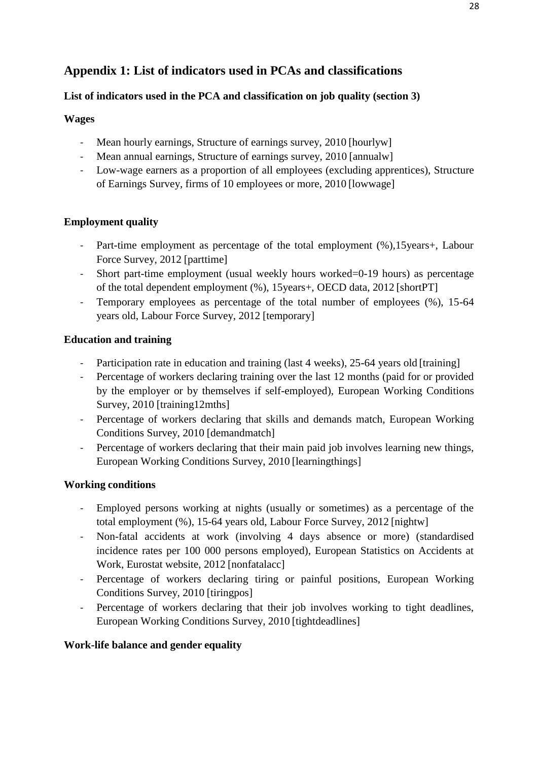# **Appendix 1: List of indicators used in PCAs and classifications**

## **List of indicators used in the PCA and classification on job quality (section 3)**

#### **Wages**

- Mean hourly earnings, Structure of earnings survey, 2010 [hourlyw]
- Mean annual earnings, Structure of earnings survey, 2010 [annualw]
- Low-wage earners as a proportion of all employees (excluding apprentices), Structure of Earnings Survey, firms of 10 employees or more, 2010 [lowwage]

## **Employment quality**

- Part-time employment as percentage of the total employment (%),15years+, Labour Force Survey, 2012 [parttime]
- Short part-time employment (usual weekly hours worked=0-19 hours) as percentage of the total dependent employment (%), 15years+, OECD data, 2012 [shortPT]
- Temporary employees as percentage of the total number of employees (%), 15-64 years old, Labour Force Survey, 2012 [temporary]

## **Education and training**

- Participation rate in education and training (last 4 weeks), 25-64 years old [training]
- Percentage of workers declaring training over the last 12 months (paid for or provided by the employer or by themselves if self-employed), European Working Conditions Survey, 2010 [training12mths]
- Percentage of workers declaring that skills and demands match, European Working Conditions Survey, 2010 [demandmatch]
- Percentage of workers declaring that their main paid job involves learning new things, European Working Conditions Survey, 2010 [learningthings]

## **Working conditions**

- Employed persons working at nights (usually or sometimes) as a percentage of the total employment (%), 15-64 years old, Labour Force Survey, 2012 [nightw]
- Non-fatal accidents at work (involving 4 days absence or more) (standardised incidence rates per 100 000 persons employed), European Statistics on Accidents at Work, Eurostat website, 2012 [nonfatalacc]
- Percentage of workers declaring tiring or painful positions, European Working Conditions Survey, 2010 [tiringpos]
- Percentage of workers declaring that their job involves working to tight deadlines, European Working Conditions Survey, 2010 [tightdeadlines]

## **Work-life balance and gender equality**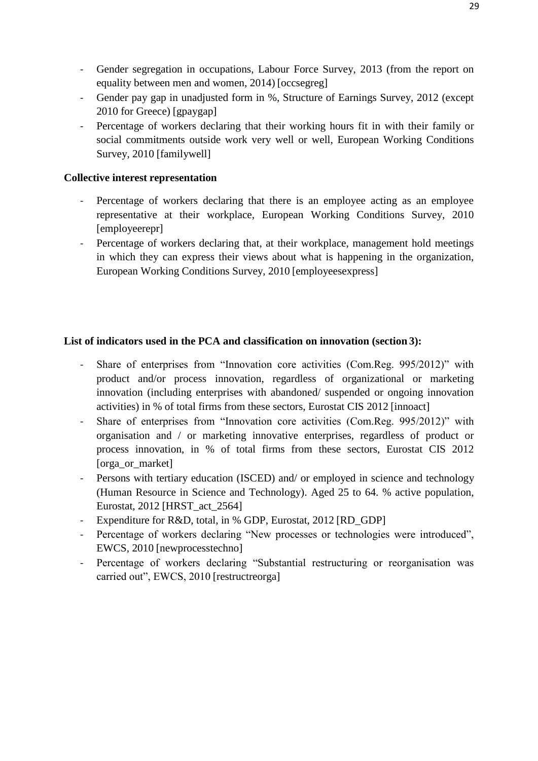- Gender segregation in occupations, Labour Force Survey, 2013 (from the report on equality between men and women, 2014) [occsegreg]
- Gender pay gap in unadjusted form in %, Structure of Earnings Survey, 2012 (except 2010 for Greece) [gpaygap]
- Percentage of workers declaring that their working hours fit in with their family or social commitments outside work very well or well, European Working Conditions Survey, 2010 [familywell]

#### **Collective interest representation**

- Percentage of workers declaring that there is an employee acting as an employee representative at their workplace, European Working Conditions Survey, 2010 [employeerepr]
- Percentage of workers declaring that, at their workplace, management hold meetings in which they can express their views about what is happening in the organization, European Working Conditions Survey, 2010 [employeesexpress]

#### **List of indicators used in the PCA and classification on innovation (section 3):**

- Share of enterprises from "Innovation core activities (Com.Reg. 995/2012)" with product and/or process innovation, regardless of organizational or marketing innovation (including enterprises with abandoned/ suspended or ongoing innovation activities) in % of total firms from these sectors, Eurostat CIS 2012 [innoact]
- Share of enterprises from "Innovation core activities (Com.Reg. 995/2012)" with organisation and / or marketing innovative enterprises, regardless of product or process innovation, in % of total firms from these sectors, Eurostat CIS 2012 [orga\_or\_market]
- Persons with tertiary education (ISCED) and/ or employed in science and technology (Human Resource in Science and Technology). Aged 25 to 64. % active population, Eurostat, 2012 [HRST\_act\_2564]
- Expenditure for R&D, total, in % GDP, Eurostat, 2012 [RD\_GDP]
- Percentage of workers declaring "New processes or technologies were introduced", EWCS, 2010 [newprocesstechno]
- Percentage of workers declaring "Substantial restructuring or reorganisation was carried out", EWCS, 2010 [restructreorga]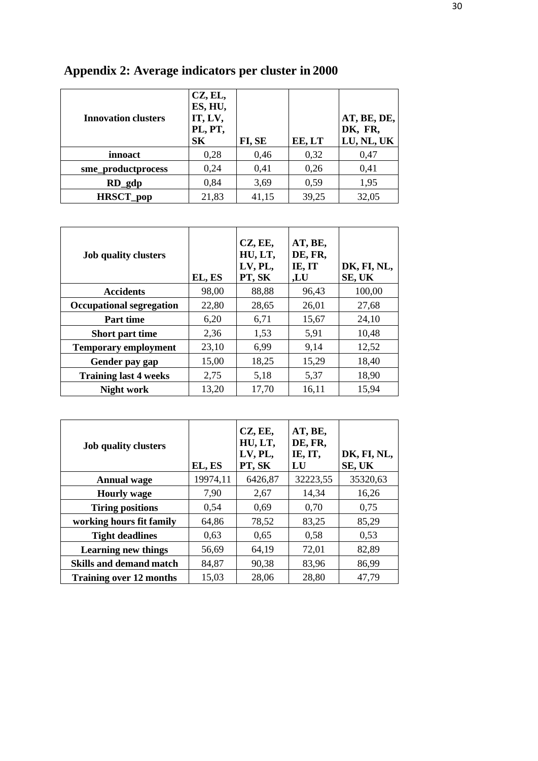| <b>Innovation clusters</b> | CZ, EL,<br>ES, HU,<br>IT, LV,<br>PL, PT,<br>S <sub>K</sub> | FI, SE | EE, LT | AT, BE, DE,<br>DK, FR,<br>LU, NL, UK |
|----------------------------|------------------------------------------------------------|--------|--------|--------------------------------------|
| innoact                    | 0,28                                                       | 0,46   | 0,32   | 0,47                                 |
| sme_productprocess         | 0,24                                                       | 0,41   | 0,26   | 0,41                                 |
| $RD$ <sub>gdp</sub>        | 0,84                                                       | 3,69   | 0,59   | 1,95                                 |
| <b>HRSCT_pop</b>           | 21,83                                                      | 41,15  | 39,25  | 32,05                                |

# **Appendix 2: Average indicators per cluster in 2000**

| <b>Job quality clusters</b>     | EL, ES | CZ, EE,<br>HU, LT,<br>LV, PL,<br>PT, SK | AT, BE,<br>DE, FR,<br>IE, IT<br>,LU | DK, FI, NL,<br>SE, UK |
|---------------------------------|--------|-----------------------------------------|-------------------------------------|-----------------------|
| <b>Accidents</b>                | 98,00  | 88,88                                   | 96,43                               | 100,00                |
| <b>Occupational segregation</b> | 22,80  | 28,65                                   | 26,01                               | 27,68                 |
| <b>Part time</b>                | 6,20   | 6,71                                    | 15,67                               | 24,10                 |
| <b>Short part time</b>          | 2,36   | 1,53                                    | 5,91                                | 10,48                 |
| <b>Temporary employment</b>     | 23,10  | 6.99                                    | 9,14                                | 12,52                 |
| Gender pay gap                  | 15,00  | 18,25                                   | 15,29                               | 18,40                 |
| <b>Training last 4 weeks</b>    | 2,75   | 5,18                                    | 5,37                                | 18,90                 |
| <b>Night work</b>               | 13,20  | 17,70                                   | 16,11                               | 15,94                 |

| <b>Job quality clusters</b>    | EL, ES   | CZ, EE,<br>HU, LT,<br>LV, PL,<br>PT, SK | AT, BE,<br>DE, FR,<br>IE, IT,<br>LU | DK, FI, NL,<br>SE, UK |
|--------------------------------|----------|-----------------------------------------|-------------------------------------|-----------------------|
| <b>Annual wage</b>             | 19974,11 | 6426,87                                 | 32223,55                            | 35320,63              |
| <b>Hourly wage</b>             | 7,90     | 2,67                                    | 14,34                               | 16,26                 |
| <b>Tiring positions</b>        | 0,54     | 0,69                                    | 0,70                                | 0,75                  |
| working hours fit family       | 64,86    | 78,52                                   | 83,25                               | 85,29                 |
| <b>Tight deadlines</b>         | 0.63     | 0,65                                    | 0,58                                | 0,53                  |
| <b>Learning new things</b>     | 56,69    | 64,19                                   | 72,01                               | 82,89                 |
| <b>Skills and demand match</b> | 84,87    | 90,38                                   | 83,96                               | 86,99                 |
| <b>Training over 12 months</b> | 15,03    | 28,06                                   | 28,80                               | 47,79                 |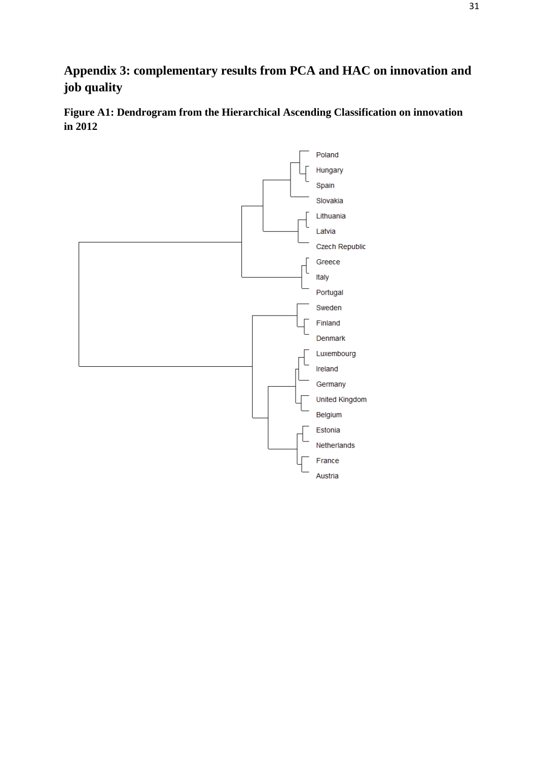# **Appendix 3: complementary results from PCA and HAC on innovation and job quality**

**Figure A1: Dendrogram from the Hierarchical Ascending Classification on innovation in 2012**

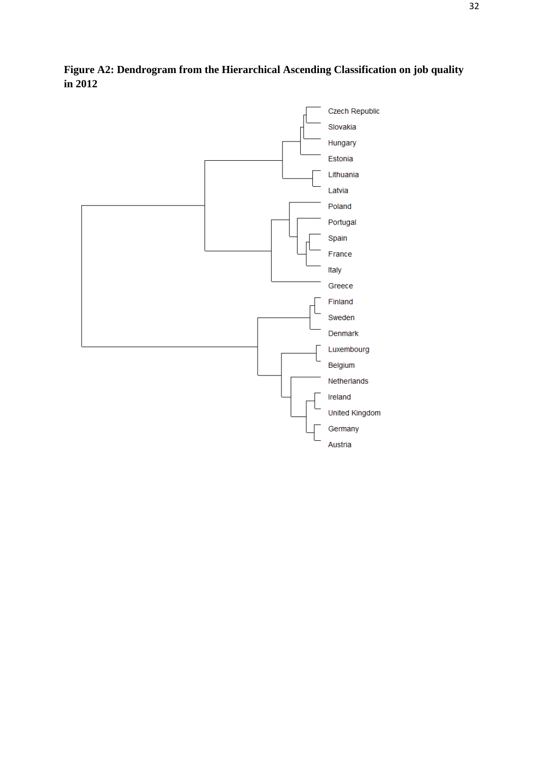

**Figure A2: Dendrogram from the Hierarchical Ascending Classification on job quality in 2012**